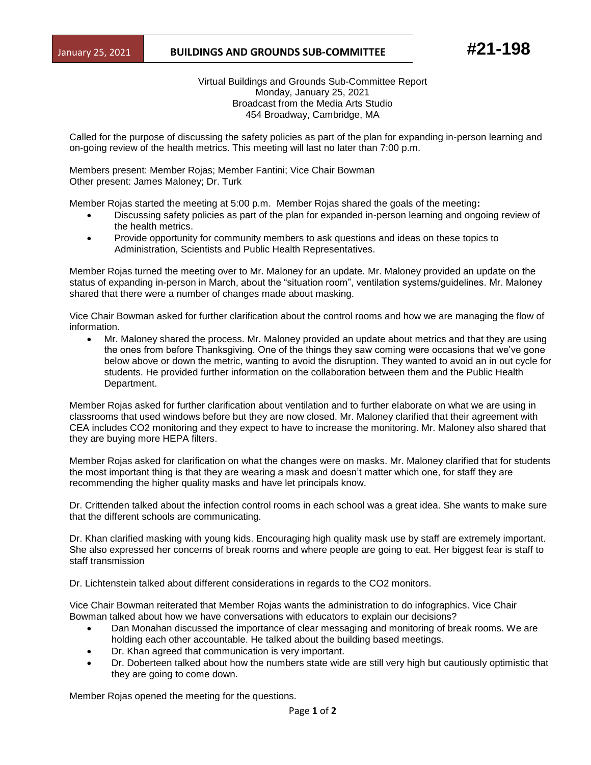## January 25, 2021 **BUILDINGS AND GROUNDS SUB-COMMITTEE** #21-198

Virtual Buildings and Grounds Sub-Committee Report Monday, January 25, 2021 Broadcast from the Media Arts Studio 454 Broadway, Cambridge, MA

Called for the purpose of discussing the safety policies as part of the plan for expanding in-person learning and on-going review of the health metrics. This meeting will last no later than 7:00 p.m.

Members present: Member Rojas; Member Fantini; Vice Chair Bowman Other present: James Maloney; Dr. Turk

Member Rojas started the meeting at 5:00 p.m. Member Rojas shared the goals of the meeting**:**

- Discussing safety policies as part of the plan for expanded in-person learning and ongoing review of the health metrics.
- Provide opportunity for community members to ask questions and ideas on these topics to Administration, Scientists and Public Health Representatives.

Member Rojas turned the meeting over to Mr. Maloney for an update. Mr. Maloney provided an update on the status of expanding in-person in March, about the "situation room", ventilation systems/guidelines. Mr. Maloney shared that there were a number of changes made about masking.

Vice Chair Bowman asked for further clarification about the control rooms and how we are managing the flow of information.

• Mr. Maloney shared the process. Mr. Maloney provided an update about metrics and that they are using the ones from before Thanksgiving. One of the things they saw coming were occasions that we've gone below above or down the metric, wanting to avoid the disruption. They wanted to avoid an in out cycle for students. He provided further information on the collaboration between them and the Public Health Department.

Member Rojas asked for further clarification about ventilation and to further elaborate on what we are using in classrooms that used windows before but they are now closed. Mr. Maloney clarified that their agreement with CEA includes CO2 monitoring and they expect to have to increase the monitoring. Mr. Maloney also shared that they are buying more HEPA filters.

Member Rojas asked for clarification on what the changes were on masks. Mr. Maloney clarified that for students the most important thing is that they are wearing a mask and doesn't matter which one, for staff they are recommending the higher quality masks and have let principals know.

Dr. Crittenden talked about the infection control rooms in each school was a great idea. She wants to make sure that the different schools are communicating.

Dr. Khan clarified masking with young kids. Encouraging high quality mask use by staff are extremely important. She also expressed her concerns of break rooms and where people are going to eat. Her biggest fear is staff to staff transmission

Dr. Lichtenstein talked about different considerations in regards to the CO2 monitors.

Vice Chair Bowman reiterated that Member Rojas wants the administration to do infographics. Vice Chair Bowman talked about how we have conversations with educators to explain our decisions?

- Dan Monahan discussed the importance of clear messaging and monitoring of break rooms. We are holding each other accountable. He talked about the building based meetings.
- Dr. Khan agreed that communication is very important.
- Dr. Doberteen talked about how the numbers state wide are still very high but cautiously optimistic that they are going to come down.

Member Rojas opened the meeting for the questions.